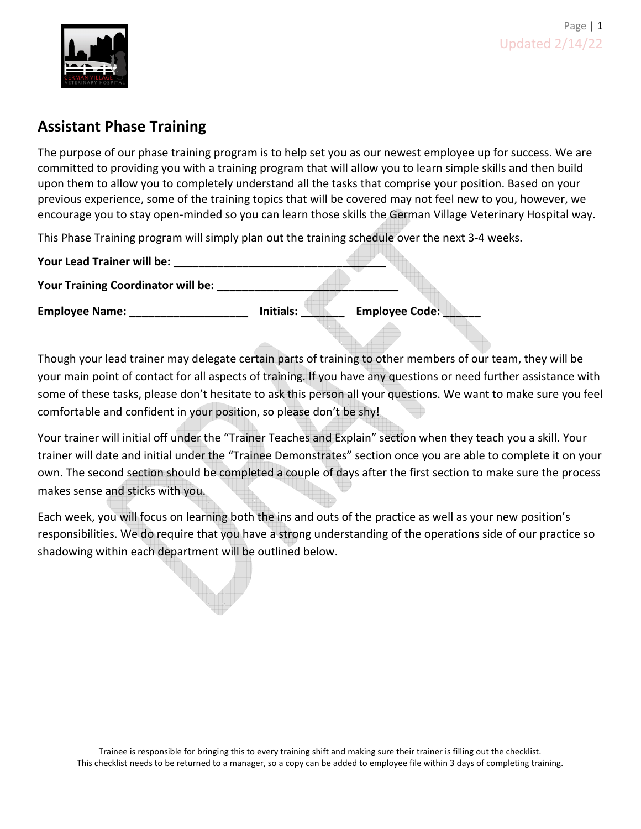

# Assistant Phase Training

The purpose of our phase training program is to help set you as our newest employee up for success. We are committed to providing you with a training program that will allow you to learn simple skills and then build upon them to allow you to completely understand all the tasks that comprise your position. Based on your previous experience, some of the training topics that will be covered may not feel new to you, however, we encourage you to stay open-minded so you can learn those skills the German Village Veterinary Hospital way.

This Phase Training program will simply plan out the training schedule over the next 3-4 weeks.

| Your Lead Trainer will be:                |           |                       |
|-------------------------------------------|-----------|-----------------------|
| <b>Your Training Coordinator will be:</b> |           |                       |
| <b>Employee Name:</b>                     | Initials: | <b>Employee Code:</b> |

Though your lead trainer may delegate certain parts of training to other members of our team, they will be your main point of contact for all aspects of training. If you have any questions or need further assistance with some of these tasks, please don't hesitate to ask this person all your questions. We want to make sure you feel comfortable and confident in your position, so please don't be shy!

Your trainer will initial off under the "Trainer Teaches and Explain" section when they teach you a skill. Your trainer will date and initial under the "Trainee Demonstrates" section once you are able to complete it on your own. The second section should be completed a couple of days after the first section to make sure the process makes sense and sticks with you.

Each week, you will focus on learning both the ins and outs of the practice as well as your new position's responsibilities. We do require that you have a strong understanding of the operations side of our practice so shadowing within each department will be outlined below.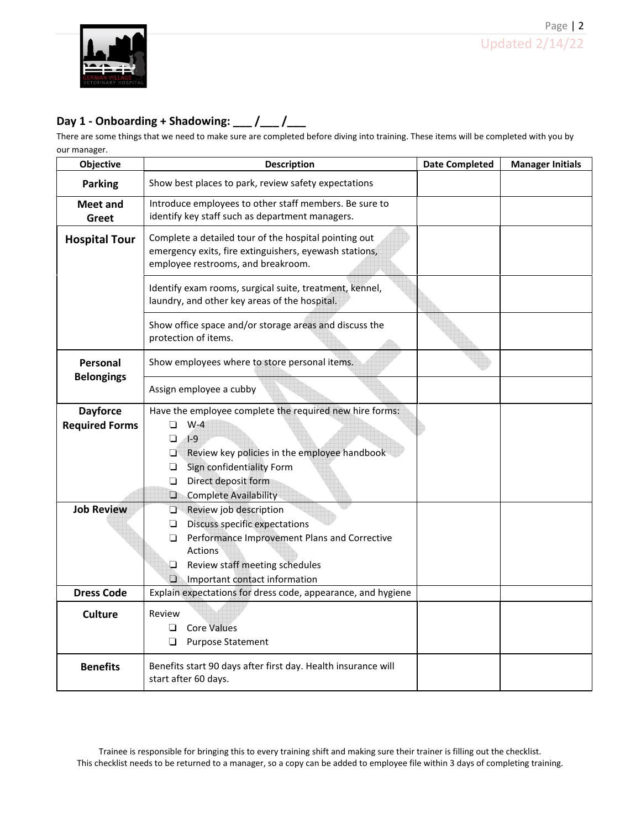

## Day 1 - Onboarding + Shadowing:  $\frac{1}{2}$  / $\frac{1}{2}$

There are some things that we need to make sure are completed before diving into training. These items will be completed with you by our manager.

| Objective                                                     | <b>Description</b>                                                                                                                                                                                                                               | <b>Date Completed</b> | <b>Manager Initials</b> |  |  |
|---------------------------------------------------------------|--------------------------------------------------------------------------------------------------------------------------------------------------------------------------------------------------------------------------------------------------|-----------------------|-------------------------|--|--|
| <b>Parking</b>                                                | Show best places to park, review safety expectations                                                                                                                                                                                             |                       |                         |  |  |
| <b>Meet and</b><br>Greet                                      | Introduce employees to other staff members. Be sure to<br>identify key staff such as department managers.                                                                                                                                        |                       |                         |  |  |
| <b>Hospital Tour</b>                                          | Complete a detailed tour of the hospital pointing out<br>emergency exits, fire extinguishers, eyewash stations,<br>employee restrooms, and breakroom.                                                                                            |                       |                         |  |  |
|                                                               | Identify exam rooms, surgical suite, treatment, kennel,<br>laundry, and other key areas of the hospital.                                                                                                                                         |                       |                         |  |  |
|                                                               | Show office space and/or storage areas and discuss the<br>protection of items.                                                                                                                                                                   |                       |                         |  |  |
| Personal                                                      | Show employees where to store personal items.                                                                                                                                                                                                    |                       |                         |  |  |
| <b>Belongings</b>                                             | Assign employee a cubby                                                                                                                                                                                                                          |                       |                         |  |  |
| <b>Dayforce</b><br><b>Required Forms</b><br><b>Job Review</b> | Have the employee complete the required new hire forms:<br>$W-4$<br>ப<br>$\Box$<br>$1-9$<br>❏<br>Review key policies in the employee handbook<br>Sign confidentiality Form<br>❏<br>Direct deposit form<br>□<br>O<br><b>Complete Availability</b> |                       |                         |  |  |
|                                                               | O<br>Review job description<br><b>Discuss specific expectations</b><br>❏<br>$\Box$<br>Performance Improvement Plans and Corrective<br><b>Actions</b><br>❏<br>Review staff meeting schedules<br>$\Box$<br>Important contact information           |                       |                         |  |  |
| <b>Dress Code</b>                                             | Explain expectations for dress code, appearance, and hygiene                                                                                                                                                                                     |                       |                         |  |  |
| <b>Culture</b>                                                | Review<br><b>Core Values</b><br>$\Box$<br>❏<br>Purpose Statement                                                                                                                                                                                 |                       |                         |  |  |
| <b>Benefits</b>                                               | Benefits start 90 days after first day. Health insurance will<br>start after 60 days.                                                                                                                                                            |                       |                         |  |  |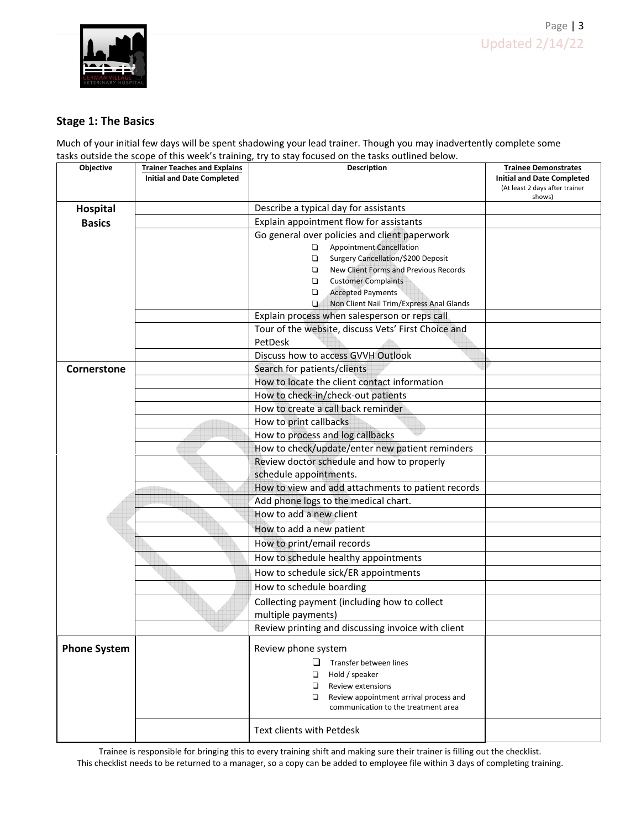

### Stage 1: The Basics

Much of your initial few days will be spent shadowing your lead trainer. Though you may inadvertently complete some tasks outside the scope of this week's training, try to stay focused on the tasks outlined below.

| Objective           | <b>Trainer Teaches and Explains</b> | Description                                                                                         | <b>Trainee Demonstrates</b>              |
|---------------------|-------------------------------------|-----------------------------------------------------------------------------------------------------|------------------------------------------|
|                     | <b>Initial and Date Completed</b>   |                                                                                                     | <b>Initial and Date Completed</b>        |
|                     |                                     |                                                                                                     | (At least 2 days after trainer<br>shows) |
| <b>Hospital</b>     |                                     | Describe a typical day for assistants                                                               |                                          |
| <b>Basics</b>       |                                     | Explain appointment flow for assistants                                                             |                                          |
|                     |                                     | Go general over policies and client paperwork                                                       |                                          |
|                     |                                     | <b>Appointment Cancellation</b><br>$\Box$                                                           |                                          |
|                     |                                     | $\Box$<br>Surgery Cancellation/\$200 Deposit                                                        |                                          |
|                     |                                     | New Client Forms and Previous Records<br>$\Box$                                                     |                                          |
|                     |                                     | <b>Customer Complaints</b><br>$\Box$                                                                |                                          |
|                     |                                     | $\Box$<br><b>Accepted Payments</b>                                                                  |                                          |
|                     |                                     | $\Box$<br>Non Client Nail Trim/Express Anal Glands<br>Explain process when salesperson or reps call |                                          |
|                     |                                     | Tour of the website, discuss Vets' First Choice and                                                 |                                          |
|                     |                                     | PetDesk                                                                                             |                                          |
|                     |                                     | Discuss how to access GVVH Outlook                                                                  |                                          |
| Cornerstone         |                                     | Search for patients/clients                                                                         |                                          |
|                     |                                     | How to locate the client contact information                                                        |                                          |
|                     |                                     | How to check-in/check-out patients                                                                  |                                          |
|                     |                                     | How to create a call back reminder                                                                  |                                          |
|                     |                                     | How to print callbacks                                                                              |                                          |
|                     |                                     | How to process and log callbacks                                                                    |                                          |
|                     |                                     | How to check/update/enter new patient reminders                                                     |                                          |
|                     |                                     | Review doctor schedule and how to properly                                                          |                                          |
|                     |                                     | schedule appointments.                                                                              |                                          |
|                     |                                     | How to view and add attachments to patient records                                                  |                                          |
|                     |                                     | Add phone logs to the medical chart.                                                                |                                          |
|                     |                                     | How to add a new client                                                                             |                                          |
|                     |                                     | How to add a new patient                                                                            |                                          |
|                     |                                     | How to print/email records                                                                          |                                          |
|                     |                                     | How to schedule healthy appointments                                                                |                                          |
|                     |                                     | How to schedule sick/ER appointments                                                                |                                          |
|                     |                                     | How to schedule boarding                                                                            |                                          |
|                     |                                     | Collecting payment (including how to collect                                                        |                                          |
|                     |                                     | multiple payments)                                                                                  |                                          |
|                     |                                     | Review printing and discussing invoice with client                                                  |                                          |
| <b>Phone System</b> |                                     | Review phone system                                                                                 |                                          |
|                     |                                     | Transfer between lines                                                                              |                                          |
|                     |                                     | $\Box$<br>Hold / speaker                                                                            |                                          |
|                     |                                     | $\Box$<br><b>Review extensions</b>                                                                  |                                          |
|                     |                                     | Review appointment arrival process and                                                              |                                          |
|                     |                                     | communication to the treatment area                                                                 |                                          |
|                     |                                     | Text clients with Petdesk                                                                           |                                          |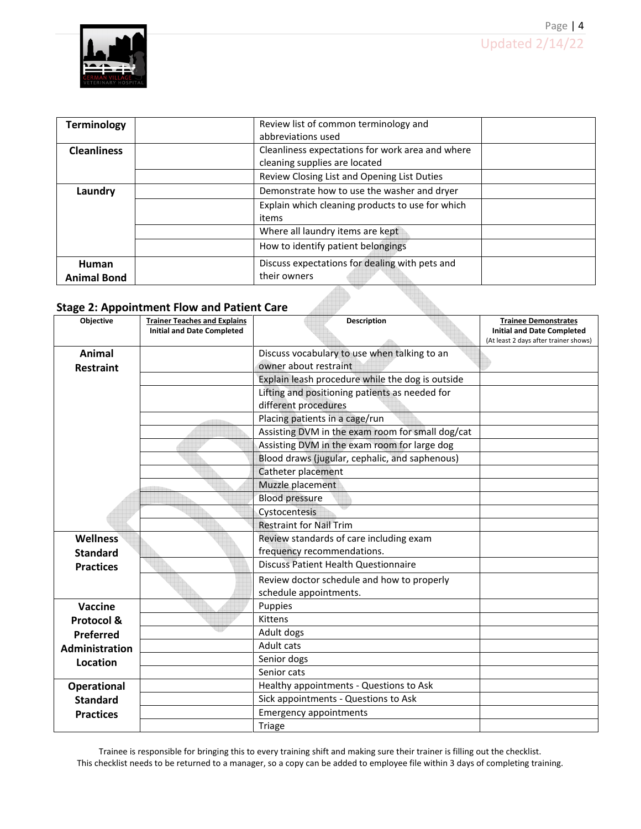

| <b>Terminology</b> | Review list of common terminology and            |  |
|--------------------|--------------------------------------------------|--|
|                    | abbreviations used                               |  |
| <b>Cleanliness</b> | Cleanliness expectations for work area and where |  |
|                    | cleaning supplies are located                    |  |
|                    | Review Closing List and Opening List Duties      |  |
| Laundry            | Demonstrate how to use the washer and dryer      |  |
|                    | Explain which cleaning products to use for which |  |
|                    | items                                            |  |
|                    | Where all laundry items are kept                 |  |
|                    | How to identify patient belongings               |  |
| Human              | Discuss expectations for dealing with pets and   |  |
| <b>Animal Bond</b> | their owners                                     |  |

## Stage 2: Appointment Flow and Patient Care

| Objective          | <b>Trainer Teaches and Explains</b> | <b>Description</b>                               | <b>Trainee Demonstrates</b>           |
|--------------------|-------------------------------------|--------------------------------------------------|---------------------------------------|
|                    | <b>Initial and Date Completed</b>   |                                                  | <b>Initial and Date Completed</b>     |
|                    |                                     |                                                  | (At least 2 days after trainer shows) |
| Animal             |                                     | Discuss vocabulary to use when talking to an     |                                       |
| <b>Restraint</b>   |                                     | owner about restraint                            |                                       |
|                    |                                     | Explain leash procedure while the dog is outside |                                       |
|                    |                                     | Lifting and positioning patients as needed for   |                                       |
|                    |                                     | different procedures                             |                                       |
|                    |                                     | Placing patients in a cage/run                   |                                       |
|                    |                                     | Assisting DVM in the exam room for small dog/cat |                                       |
|                    |                                     | Assisting DVM in the exam room for large dog     |                                       |
|                    |                                     | Blood draws (jugular, cephalic, and saphenous)   |                                       |
|                    |                                     | Catheter placement                               |                                       |
|                    |                                     | Muzzle placement                                 |                                       |
|                    |                                     | <b>Blood pressure</b>                            |                                       |
|                    |                                     | Cystocentesis                                    |                                       |
|                    |                                     | <b>Restraint for Nail Trim</b>                   |                                       |
| <b>Wellness</b>    |                                     | Review standards of care including exam          |                                       |
| <b>Standard</b>    |                                     | frequency recommendations.                       |                                       |
| <b>Practices</b>   |                                     | <b>Discuss Patient Health Questionnaire</b>      |                                       |
|                    |                                     | Review doctor schedule and how to properly       |                                       |
|                    |                                     | schedule appointments.                           |                                       |
| <b>Vaccine</b>     |                                     | Puppies                                          |                                       |
| Protocol &         |                                     | Kittens                                          |                                       |
| Preferred          |                                     | Adult dogs                                       |                                       |
| Administration     |                                     | Adult cats                                       |                                       |
| Location           |                                     | Senior dogs                                      |                                       |
|                    |                                     | Senior cats                                      |                                       |
| <b>Operational</b> |                                     | Healthy appointments - Questions to Ask          |                                       |
| <b>Standard</b>    |                                     | Sick appointments - Questions to Ask             |                                       |
| <b>Practices</b>   |                                     | <b>Emergency appointments</b>                    |                                       |
|                    |                                     | Triage                                           |                                       |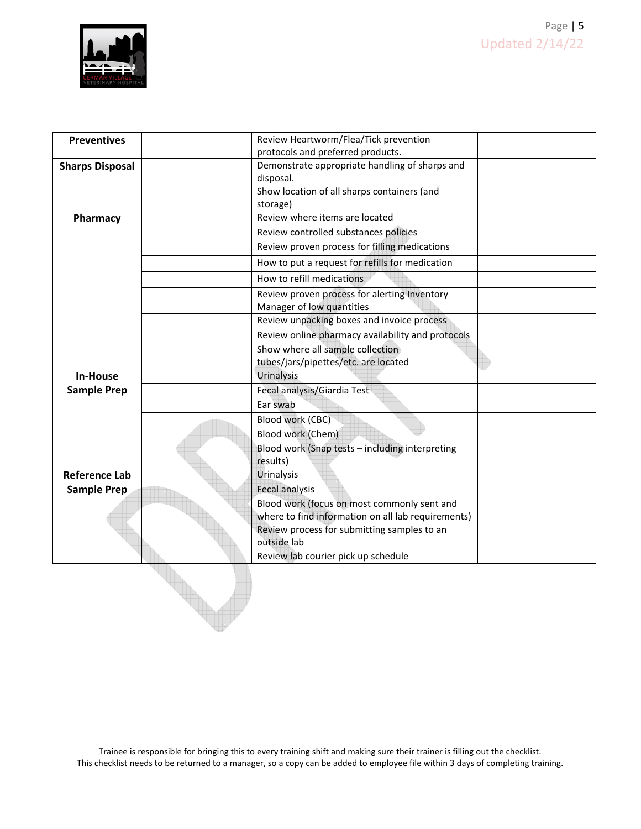

| <b>Preventives</b>     | Review Heartworm/Flea/Tick prevention              |
|------------------------|----------------------------------------------------|
|                        | protocols and preferred products.                  |
| <b>Sharps Disposal</b> | Demonstrate appropriate handling of sharps and     |
|                        | disposal.                                          |
|                        | Show location of all sharps containers (and        |
|                        | storage)                                           |
| Pharmacy               | Review where items are located                     |
|                        | Review controlled substances policies              |
|                        | Review proven process for filling medications      |
|                        | How to put a request for refills for medication    |
|                        | How to refill medications                          |
|                        | Review proven process for alerting Inventory       |
|                        | Manager of low quantities                          |
|                        | Review unpacking boxes and invoice process         |
|                        | Review online pharmacy availability and protocols  |
|                        | Show where all sample collection                   |
|                        | tubes/jars/pipettes/etc. are located               |
| <b>In-House</b>        | Urinalysis                                         |
| <b>Sample Prep</b>     | Fecal analysis/Giardia Test                        |
|                        | Ear swab                                           |
|                        | Blood work (CBC)                                   |
|                        | Blood work (Chem)                                  |
|                        | Blood work (Snap tests - including interpreting    |
|                        | results)                                           |
| <b>Reference Lab</b>   | Urinalysis                                         |
| <b>Sample Prep</b>     | Fecal analysis                                     |
|                        | Blood work (focus on most commonly sent and        |
|                        | where to find information on all lab requirements) |
|                        | Review process for submitting samples to an        |
|                        | outside lab                                        |
|                        | Review lab courier pick up schedule                |
|                        |                                                    |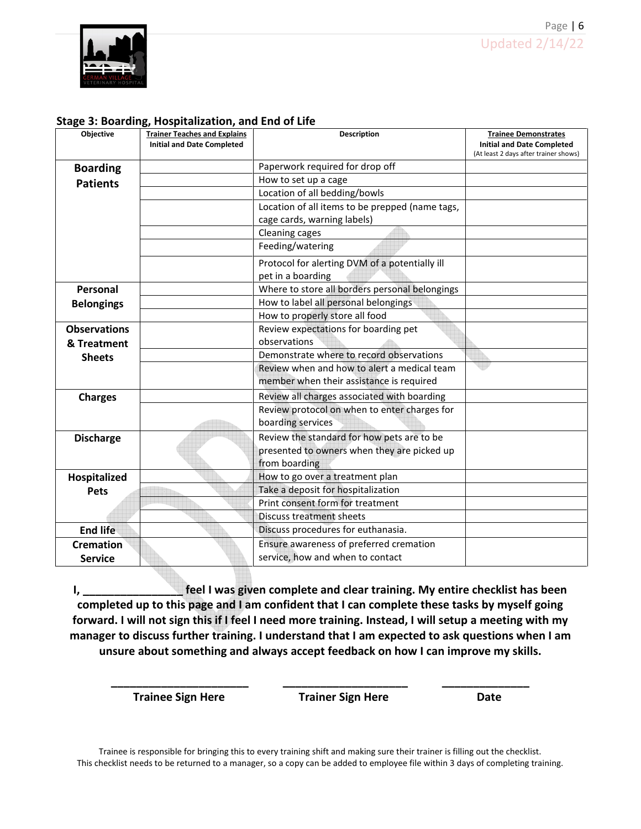

#### Stage 3: Boarding, Hospitalization, and End of Life

| Objective           | <b>Trainer Teaches and Explains</b> | <b>Description</b>                              | <b>Trainee Demonstrates</b>           |
|---------------------|-------------------------------------|-------------------------------------------------|---------------------------------------|
|                     | <b>Initial and Date Completed</b>   |                                                 | <b>Initial and Date Completed</b>     |
|                     |                                     |                                                 | (At least 2 days after trainer shows) |
| <b>Boarding</b>     |                                     | Paperwork required for drop off                 |                                       |
| <b>Patients</b>     |                                     | How to set up a cage                            |                                       |
|                     |                                     | Location of all bedding/bowls                   |                                       |
|                     |                                     | Location of all items to be prepped (name tags, |                                       |
|                     |                                     | cage cards, warning labels)                     |                                       |
|                     |                                     | Cleaning cages                                  |                                       |
|                     |                                     | Feeding/watering                                |                                       |
|                     |                                     | Protocol for alerting DVM of a potentially ill  |                                       |
|                     |                                     | pet in a boarding                               |                                       |
| Personal            |                                     | Where to store all borders personal belongings  |                                       |
| <b>Belongings</b>   |                                     | How to label all personal belongings            |                                       |
|                     |                                     | How to properly store all food                  |                                       |
| <b>Observations</b> |                                     | Review expectations for boarding pet            |                                       |
| & Treatment         |                                     | observations                                    |                                       |
| <b>Sheets</b>       |                                     | Demonstrate where to record observations        |                                       |
|                     |                                     | Review when and how to alert a medical team     |                                       |
|                     |                                     | member when their assistance is required        |                                       |
| <b>Charges</b>      |                                     | Review all charges associated with boarding     |                                       |
|                     |                                     | Review protocol on when to enter charges for    |                                       |
|                     |                                     | boarding services                               |                                       |
| <b>Discharge</b>    |                                     | Review the standard for how pets are to be      |                                       |
|                     |                                     | presented to owners when they are picked up     |                                       |
|                     |                                     | from boarding                                   |                                       |
| Hospitalized        |                                     | How to go over a treatment plan                 |                                       |
| <b>Pets</b>         |                                     | Take a deposit for hospitalization              |                                       |
|                     |                                     | Print consent form for treatment                |                                       |
|                     |                                     | <b>Discuss treatment sheets</b>                 |                                       |
| <b>End life</b>     |                                     | Discuss procedures for euthanasia.              |                                       |
| <b>Cremation</b>    |                                     | Ensure awareness of preferred cremation         |                                       |
| <b>Service</b>      |                                     | service, how and when to contact                |                                       |

I, \_\_\_\_\_\_\_\_\_\_\_\_\_\_\_\_\_\_\_ feel I was given complete and clear training. My entire checklist has been completed up to this page and I am confident that I can complete these tasks by myself going forward. I will not sign this if I feel I need more training. Instead, I will setup a meeting with my manager to discuss further training. I understand that I am expected to ask questions when I am unsure about something and always accept feedback on how I can improve my skills.

\_\_\_\_\_\_\_\_\_\_\_\_\_\_\_\_\_\_\_\_\_\_ \_\_\_\_\_\_\_\_\_\_\_\_\_\_\_\_\_\_\_\_ \_\_\_\_\_\_\_\_\_\_\_\_\_\_

Trainee Sign Here Trainer Sign Here Date